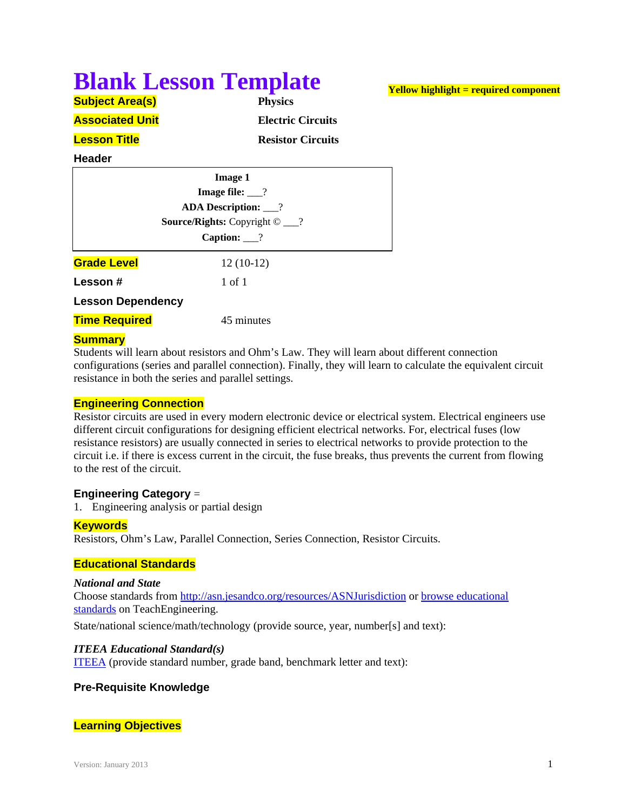# **Blank Lesson Template**

# **Yellow highlight = required component**

**Subject Area(s) Physics Associated Unit** *Electric Circuits* **Lesson Title** *Resistor Circuits* 

### **Header**

| <b>Image 1</b>                                  |                        |  |
|-------------------------------------------------|------------------------|--|
| Image file: $\frac{?}{?}$                       |                        |  |
| <b>ADA Description:</b> __?                     |                        |  |
| <b>Source/Rights:</b> Copyright $\odot$ __?     |                        |  |
|                                                 | Caption: $\frac{?}{?}$ |  |
| <b>Grade Level</b>                              | $12(10-12)$            |  |
| <b>Lesson</b> #                                 | 1 of 1                 |  |
| <b>Lesson Dependency</b>                        |                        |  |
| <b>Time Required</b>                            | 45 minutes             |  |
| the contract of the contract of the contract of |                        |  |

# **Summary**

Students will learn about resistors and Ohm's Law. They will learn about different connection configurations (series and parallel connection). Finally, they will learn to calculate the equivalent circuit resistance in both the series and parallel settings.

# **Engineering Connection**

Resistor circuits are used in every modern electronic device or electrical system. Electrical engineers use different circuit configurations for designing efficient electrical networks. For, electrical fuses (low resistance resistors) are usually connected in series to electrical networks to provide protection to the circuit i.e. if there is excess current in the circuit, the fuse breaks, thus prevents the current from flowing to the rest of the circuit.

# **Engineering Category** =

1. Engineering analysis or partial design

# **Keywords**

Resistors, Ohm's Law, Parallel Connection, Series Connection, Resistor Circuits.

# **Educational Standards**

# *National and State*

Choose standards from http://asn.jesandco.org/resources/ASNJurisdiction or browse educational standards on TeachEngineering.

State/national science/math/technology (provide source, year, number[s] and text):

# *ITEEA Educational Standard(s)*

ITEEA (provide standard number, grade band, benchmark letter and text):

# **Pre-Requisite Knowledge**

# **Learning Objectives**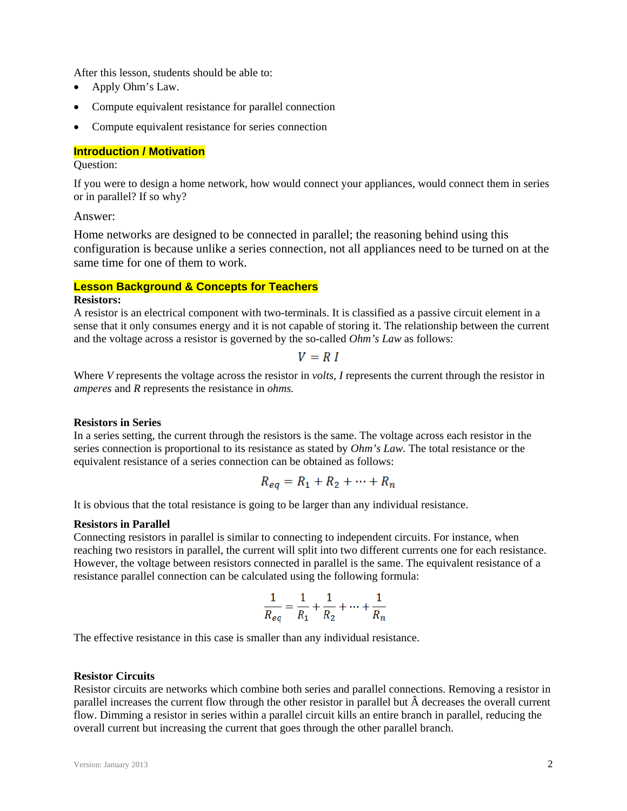After this lesson, students should be able to:

- Apply Ohm's Law.
- Compute equivalent resistance for parallel connection
- Compute equivalent resistance for series connection

#### **Introduction / Motivation**

#### Question:

If you were to design a home network, how would connect your appliances, would connect them in series or in parallel? If so why?

### Answer:

Home networks are designed to be connected in parallel; the reasoning behind using this configuration is because unlike a series connection, not all appliances need to be turned on at the same time for one of them to work.

### **Lesson Background & Concepts for Teachers**

#### **Resistors:**

A resistor is an electrical component with two-terminals. It is classified as a passive circuit element in a sense that it only consumes energy and it is not capable of storing it. The relationship between the current and the voltage across a resistor is governed by the so-called *Ohm's Law* as follows:

 $V = R I$ 

Where *V* represents the voltage across the resistor in *volts*, *I* represents the current through the resistor in *amperes* and *R* represents the resistance in *ohms.* 

#### **Resistors in Series**

In a series setting, the current through the resistors is the same. The voltage across each resistor in the series connection is proportional to its resistance as stated by *Ohm's Law.* The total resistance or the equivalent resistance of a series connection can be obtained as follows:

$$
R_{eq} = R_1 + R_2 + \dots + R_n
$$

It is obvious that the total resistance is going to be larger than any individual resistance.

#### **Resistors in Parallel**

Connecting resistors in parallel is similar to connecting to independent circuits. For instance, when reaching two resistors in parallel, the current will split into two different currents one for each resistance. However, the voltage between resistors connected in parallel is the same. The equivalent resistance of a resistance parallel connection can be calculated using the following formula:

$$
\frac{1}{R_{eq}} = \frac{1}{R_1} + \frac{1}{R_2} + \dots + \frac{1}{R_n}
$$

The effective resistance in this case is smaller than any individual resistance.

#### **Resistor Circuits**

Resistor circuits are networks which combine both series and parallel connections. Removing a resistor in parallel increases the current flow through the other resistor in parallel but decreases the overall current flow. Dimming a resistor in series within a parallel circuit kills an entire branch in parallel, reducing the overall current but increasing the current that goes through the other parallel branch.